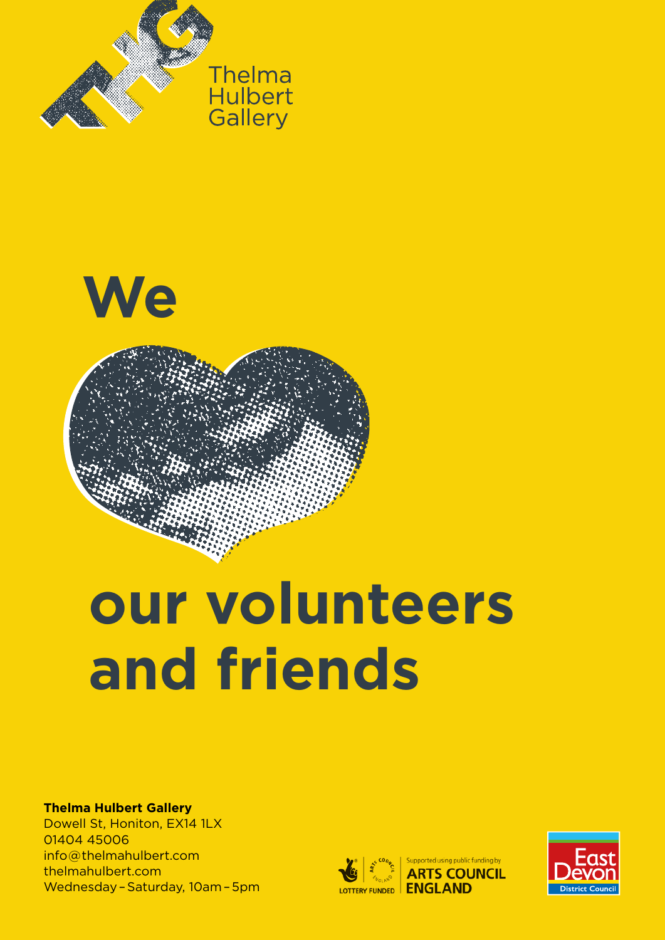





# **our volunteers and friends**

#### **Thelma Hulbert Gallery**

Dowell St, Honiton, EX14 1LX 01404 45006 info @ thelmahulbert.com thelmahulbert.com Wednesday – Saturday, 10am – 5pm